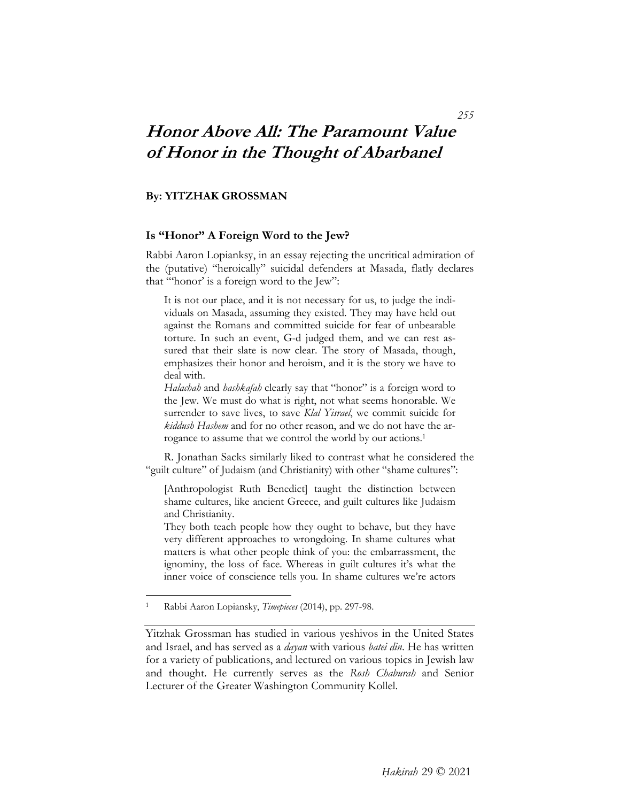# **Honor Above All: The Paramount Value of Honor in the Thought of Abarbanel**

## **By: YITZHAK GROSSMAN**

## **Is "Honor" A Foreign Word to the Jew?**

Rabbi Aaron Lopianksy, in an essay rejecting the uncritical admiration of the (putative) "heroically" suicidal defenders at Masada, flatly declares that "'honor' is a foreign word to the Jew":

It is not our place, and it is not necessary for us, to judge the individuals on Masada, assuming they existed. They may have held out against the Romans and committed suicide for fear of unbearable torture. In such an event, G-d judged them, and we can rest assured that their slate is now clear. The story of Masada, though, emphasizes their honor and heroism, and it is the story we have to deal with.

*Halachah* and *hashkafah* clearly say that "honor" is a foreign word to the Jew. We must do what is right, not what seems honorable. We surrender to save lives, to save *Klal Yisrael*, we commit suicide for *kiddush Hashem* and for no other reason, and we do not have the arrogance to assume that we control the world by our actions.1

R. Jonathan Sacks similarly liked to contrast what he considered the "guilt culture" of Judaism (and Christianity) with other "shame cultures":

[Anthropologist Ruth Benedict] taught the distinction between shame cultures, like ancient Greece, and guilt cultures like Judaism and Christianity.

They both teach people how they ought to behave, but they have very different approaches to wrongdoing. In shame cultures what matters is what other people think of you: the embarrassment, the ignominy, the loss of face. Whereas in guilt cultures it's what the inner voice of conscience tells you. In shame cultures we're actors

*255* 

<sup>1</sup> Rabbi Aaron Lopiansky, *Timepieces* (2014), pp. 297-98.

Yitzhak Grossman has studied in various yeshivos in the United States and Israel, and has served as a *dayan* with various *batei din*. He has written for a variety of publications, and lectured on various topics in Jewish law and thought. He currently serves as the *Rosh Chaburah* and Senior Lecturer of the Greater Washington Community Kollel.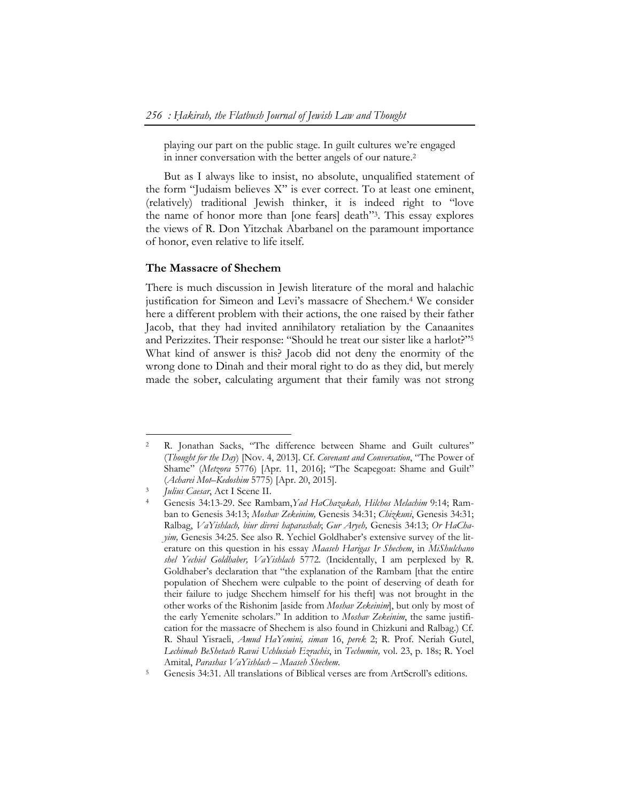playing our part on the public stage. In guilt cultures we're engaged in inner conversation with the better angels of our nature.2

But as I always like to insist, no absolute, unqualified statement of the form "Judaism believes X" is ever correct. To at least one eminent, (relatively) traditional Jewish thinker, it is indeed right to "love the name of honor more than [one fears] death"3. This essay explores the views of R. Don Yitzchak Abarbanel on the paramount importance of honor, even relative to life itself.

## **The Massacre of Shechem**

There is much discussion in Jewish literature of the moral and halachic justification for Simeon and Levi's massacre of Shechem.4 We consider here a different problem with their actions, the one raised by their father Jacob, that they had invited annihilatory retaliation by the Canaanites and Perizzites. Their response: "Should he treat our sister like a harlot?"5 What kind of answer is this? Jacob did not deny the enormity of the wrong done to Dinah and their moral right to do as they did, but merely made the sober, calculating argument that their family was not strong

<sup>2</sup> R. Jonathan Sacks, "The difference between Shame and Guilt cultures" (*Thought for the Day*) [Nov. 4, 2013]. Cf. *Covenant and Conversation*, "The Power of Shame" (*Metzora* 5776) [Apr. 11, 2016]; "The Scapegoat: Shame and Guilt" (*Acharei Mot*–*Kedoshim* 5775) [Apr. 20, 2015]. 3 *Julius Caesar*, Act I Scene II.

<sup>4</sup> Genesis 34:13-29. See Rambam,*Yad HaChazakah, Hilchos Melachim* 9:14; Ramban to Genesis 34:13; *Moshav Zekeinim,* Genesis 34:31; *Chizkuni*, Genesis 34:31; Ralbag, *VaYishlach, biur divrei haparashah*; *Gur Aryeh,* Genesis 34:13; *Or HaChayim,* Genesis 34:25. See also R. Yechiel Goldhaber's extensive survey of the literature on this question in his essay *Maaseh Harigas Ir Shechem*, in *MiShulchano shel Yechiel Goldhaber, VaYishlach* 5772*.* (Incidentally, I am perplexed by R. Goldhaber's declaration that "the explanation of the Rambam [that the entire population of Shechem were culpable to the point of deserving of death for their failure to judge Shechem himself for his theft] was not brought in the other works of the Rishonim [aside from *Moshav Zekeinim*], but only by most of the early Yemenite scholars." In addition to *Moshav Zekeinim*, the same justification for the massacre of Shechem is also found in Chizkuni and Ralbag.) Cf. R. Shaul Yisraeli, *Amud HaYemini, siman* 16, *perek* 2; R. Prof. Neriah Gutel, *Lechimah BeShetach Ravui Uchlusiah Ezrachis*, in *Techumin,* vol. 23, p. 18s; R. Yoel

Amital, *Parashas VaYishlach – Maaseh Shechem*. 5 Genesis 34:31. All translations of Biblical verses are from ArtScroll's editions.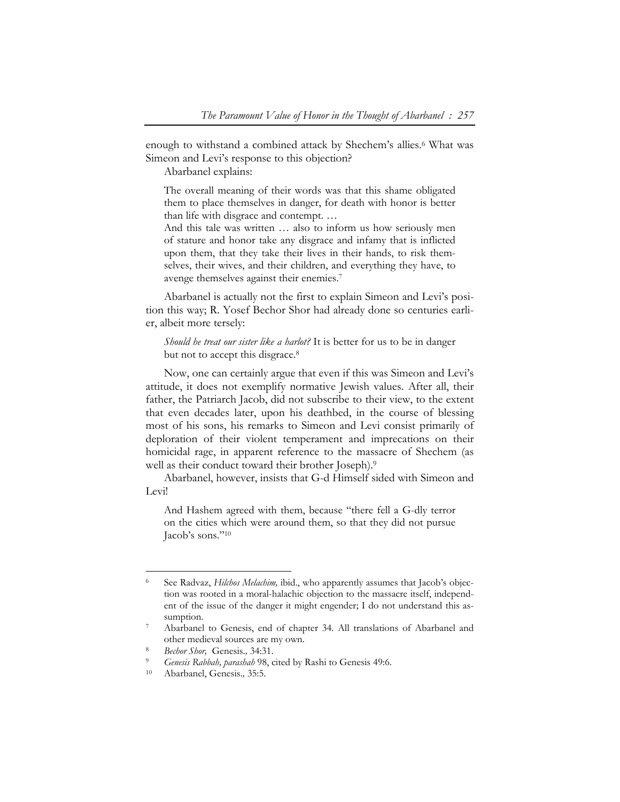enough to withstand a combined attack by Shechem's allies.6 What was Simeon and Levi's response to this objection?

Abarbanel explains:

The overall meaning of their words was that this shame obligated them to place themselves in danger, for death with honor is better than life with disgrace and contempt. …

And this tale was written … also to inform us how seriously men of stature and honor take any disgrace and infamy that is inflicted upon them, that they take their lives in their hands, to risk themselves, their wives, and their children, and everything they have, to avenge themselves against their enemies.7

Abarbanel is actually not the first to explain Simeon and Levi's position this way; R. Yosef Bechor Shor had already done so centuries earlier, albeit more tersely:

*Should he treat our sister like a harlot?* It is better for us to be in danger but not to accept this disgrace.8

Now, one can certainly argue that even if this was Simeon and Levi's attitude, it does not exemplify normative Jewish values. After all, their father, the Patriarch Jacob, did not subscribe to their view, to the extent that even decades later, upon his deathbed, in the course of blessing most of his sons, his remarks to Simeon and Levi consist primarily of deploration of their violent temperament and imprecations on their homicidal rage, in apparent reference to the massacre of Shechem (as well as their conduct toward their brother Joseph).<sup>9</sup>

Abarbanel, however, insists that G-d Himself sided with Simeon and Levi!

And Hashem agreed with them, because "there fell a G-dly terror on the cities which were around them, so that they did not pursue Jacob's sons."10

<sup>6</sup> See Radvaz, *Hilchos Melachim,* ibid., who apparently assumes that Jacob's objection was rooted in a moral-halachic objection to the massacre itself, independent of the issue of the danger it might engender; I do not understand this assumption.<br>Abarbanel to Genesis, end of chapter 34. All translations of Abarbanel and

other medieval sources are my own. 8 *Bechor Shor,* Genesis*.,* 34:31. 9 *Genesis Rabbah, parashah* 98, cited by Rashi to Genesis 49:6. 10 Abarbanel, Genesis.*,* 35:5.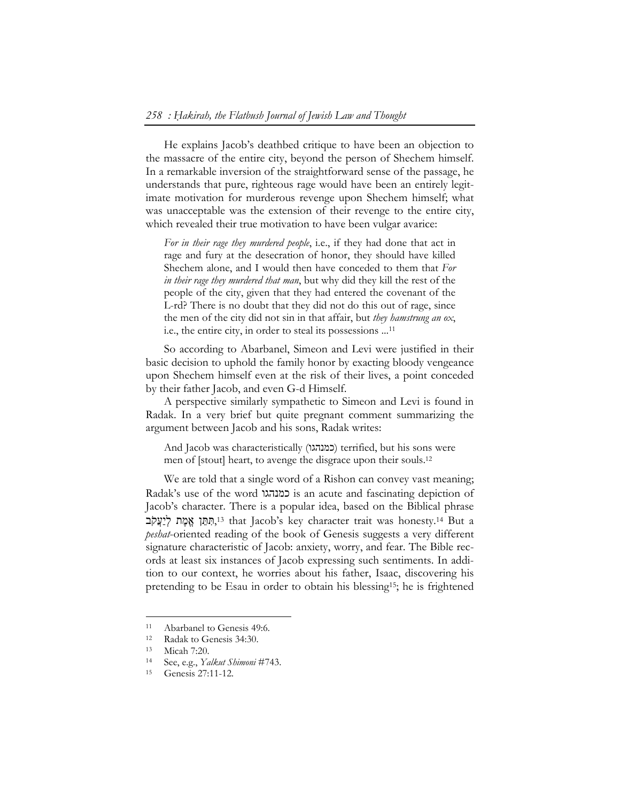He explains Jacob's deathbed critique to have been an objection to the massacre of the entire city, beyond the person of Shechem himself. In a remarkable inversion of the straightforward sense of the passage, he understands that pure, righteous rage would have been an entirely legitimate motivation for murderous revenge upon Shechem himself; what was unacceptable was the extension of their revenge to the entire city, which revealed their true motivation to have been vulgar avarice:

*For in their rage they murdered people*, i.e., if they had done that act in rage and fury at the desecration of honor, they should have killed Shechem alone, and I would then have conceded to them that *For in their rage they murdered that man*, but why did they kill the rest of the people of the city, given that they had entered the covenant of the L-rd? There is no doubt that they did not do this out of rage, since the men of the city did not sin in that affair, but *they hamstrung an ox*, i.e., the entire city, in order to steal its possessions ...11

So according to Abarbanel, Simeon and Levi were justified in their basic decision to uphold the family honor by exacting bloody vengeance upon Shechem himself even at the risk of their lives, a point conceded by their father Jacob, and even G-d Himself.

A perspective similarly sympathetic to Simeon and Levi is found in Radak. In a very brief but quite pregnant comment summarizing the argument between Jacob and his sons, Radak writes:

And Jacob was characteristically (כמנהגו) terrified, but his sons were men of [stout] heart, to avenge the disgrace upon their souls.12

We are told that a single word of a Rishon can convey vast meaning; Radak's use of the word כמנהגו is an acute and fascinating depiction of Jacob's character. There is a popular idea, based on the Biblical phrase מִת לִיַעֲקֹב that Jacob's key character trait was honesty.<sup>14</sup> But a *peshat*-oriented reading of the book of Genesis suggests a very different signature characteristic of Jacob: anxiety, worry, and fear. The Bible records at least six instances of Jacob expressing such sentiments. In addition to our context, he worries about his father, Isaac, discovering his pretending to be Esau in order to obtain his blessing15; he is frightened

-

<sup>11</sup> Abarbanel to Genesis 49:6*.*

<sup>&</sup>lt;sup>12</sup> Radak to Genesis 34:30.<br><sup>13</sup> Micab 7:20

Micah 7:20.

<sup>14</sup> See, e.g., *Yalkut Shimoni* #743. 15 Genesis 27:11-12.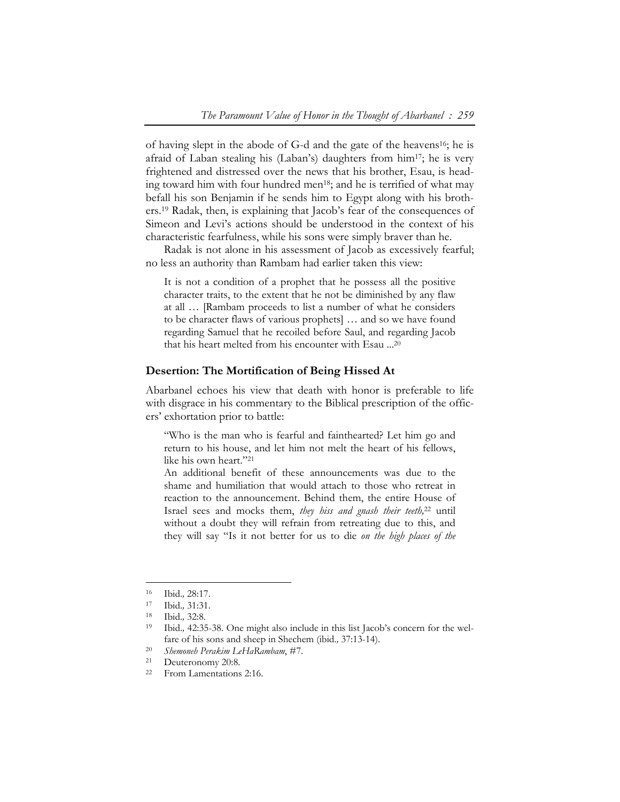of having slept in the abode of G-d and the gate of the heavens16; he is afraid of Laban stealing his (Laban's) daughters from him17; he is very frightened and distressed over the news that his brother, Esau, is heading toward him with four hundred men18; and he is terrified of what may befall his son Benjamin if he sends him to Egypt along with his brothers.19 Radak, then, is explaining that Jacob's fear of the consequences of Simeon and Levi's actions should be understood in the context of his characteristic fearfulness, while his sons were simply braver than he.

Radak is not alone in his assessment of Jacob as excessively fearful; no less an authority than Rambam had earlier taken this view:

It is not a condition of a prophet that he possess all the positive character traits, to the extent that he not be diminished by any flaw at all … [Rambam proceeds to list a number of what he considers to be character flaws of various prophets] … and so we have found regarding Samuel that he recoiled before Saul, and regarding Jacob that his heart melted from his encounter with Esau ...20

#### **Desertion: The Mortification of Being Hissed At**

Abarbanel echoes his view that death with honor is preferable to life with disgrace in his commentary to the Biblical prescription of the officers' exhortation prior to battle:

"Who is the man who is fearful and fainthearted? Let him go and return to his house, and let him not melt the heart of his fellows, like his own heart."21

An additional benefit of these announcements was due to the shame and humiliation that would attach to those who retreat in reaction to the announcement. Behind them, the entire House of Israel sees and mocks them, *they hiss and gnash their teeth,*22 until without a doubt they will refrain from retreating due to this, and they will say "Is it not better for us to die *on the high places of the* 

<sup>16</sup>Ibid.*,* 28:17. 17Ibid.*,* 31:31. 18Ibid.*,* 32:8. 19Ibid.*,* 42:35-38. One might also include in this list Jacob's concern for the welfare of his sons and sheep in Shechem (ibid.*,* 37:13-14). 20 *Shemoneh Perakim LeHaRambam*, #7.

Deuteronomy 20:8.

<sup>22</sup> From Lamentations 2:16.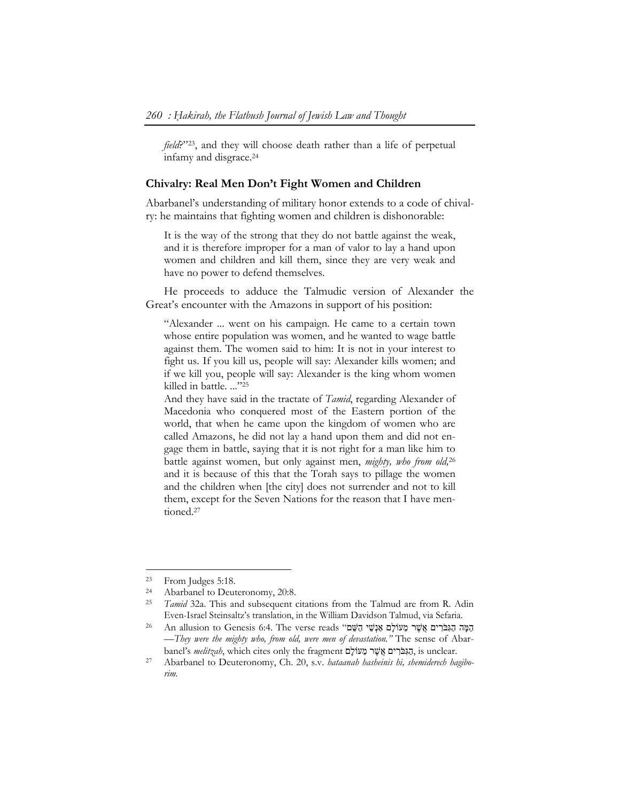*field*?"23, and they will choose death rather than a life of perpetual infamy and disgrace.24

## **Chivalry: Real Men Don't Fight Women and Children**

Abarbanel's understanding of military honor extends to a code of chivalry: he maintains that fighting women and children is dishonorable:

It is the way of the strong that they do not battle against the weak, and it is therefore improper for a man of valor to lay a hand upon women and children and kill them, since they are very weak and have no power to defend themselves.

He proceeds to adduce the Talmudic version of Alexander the Great's encounter with the Amazons in support of his position:

"Alexander ... went on his campaign. He came to a certain town whose entire population was women, and he wanted to wage battle against them. The women said to him: It is not in your interest to fight us. If you kill us, people will say: Alexander kills women; and if we kill you, people will say: Alexander is the king whom women killed in battle. ..."25

And they have said in the tractate of *Tamid*, regarding Alexander of Macedonia who conquered most of the Eastern portion of the world, that when he came upon the kingdom of women who are called Amazons, he did not lay a hand upon them and did not engage them in battle, saying that it is not right for a man like him to battle against women, but only against men, *mighty, who from old,*<sup>26</sup> and it is because of this that the Torah says to pillage the women and the children when [the city] does not surrender and not to kill them, except for the Seven Nations for the reason that I have mentioned.27

<sup>23</sup> From Judges 5:18.

<sup>24</sup> Abarbanel to Deuteronomy, 20:8.

<sup>25</sup> *Tamid* 32a. This and subsequent citations from the Talmud are from R. Adin

<sup>&</sup>lt;code>Even-Israel Steinsaltz's</code> translation, in the William Davidson Talmud, via Sefaria.<br>הַמֶּה הַגִּבְּרִים אֲשֶׁר מֵעוֹלָם אֲנָשִׁי הַשָּׁם" An allusion to Genesis 6:4. The verse reads בּוֹאֵה ה —*They were the mighty who, from old, were men of devastation."* The sense of Abar-

 $\frac{1}{27}$  בְּהַבְּרִים אֲשֶׁר מֵעוֹלָם, is unclear.<br><sup>27</sup> Abarbanel to Deuteronomy, Ch. 20, s.v. *hataanah hasheinis hi, shemiderech hagiborim.*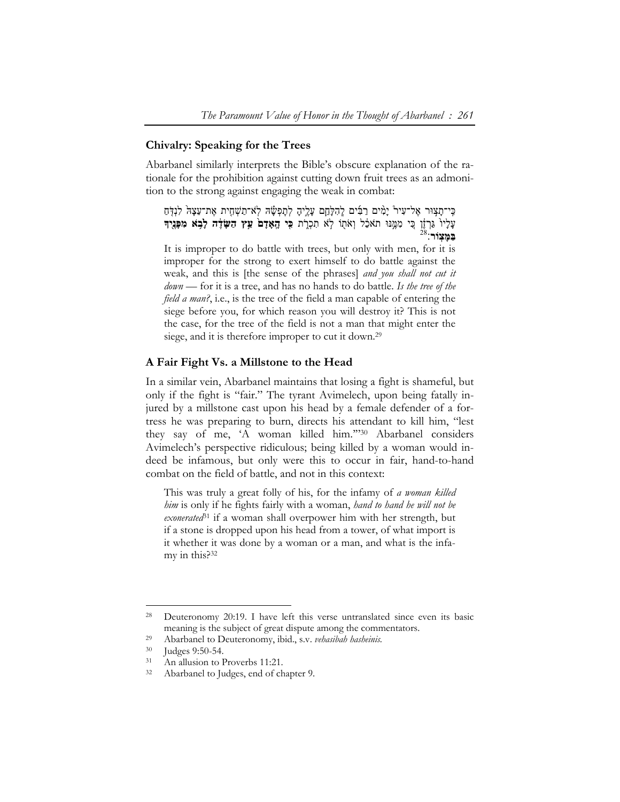## **Chivalry: Speaking for the Trees**

Abarbanel similarly interprets the Bible's obscure explanation of the rationale for the prohibition against cutting down fruit trees as an admonition to the strong against engaging the weak in combat:

ַ כִּי־תָצְוּר אֶל־עִירْ יָמִים רַבִּים לְהִלָּחֵם עָלֵיהָ לְתָפְשָׂהּ לְאֹ־תַשְׁחֶית אֶת־עֵצָהּ לִנְדָּׁח עָלָיוֹ גַּרְזֶׁן כִּי מִמְּנּוּ תֹאֹכֵ֫ל וְאֹתֻוֹ לְא תִכְרֶת **כִּי הֵאָדָם<sup>ׂ</sup> עֵץ הַשְּׂדֶה לָבָא מִפְּנֵיךְ**<br>בַּמַּצְוֹר:<sup>28</sup>

It is improper to do battle with trees, but only with men, for it is improper for the strong to exert himself to do battle against the weak, and this is [the sense of the phrases] *and you shall not cut it down* — for it is a tree, and has no hands to do battle. *Is the tree of the field a man?*, i.e., is the tree of the field a man capable of entering the siege before you, for which reason you will destroy it? This is not the case, for the tree of the field is not a man that might enter the siege, and it is therefore improper to cut it down.29

## **A Fair Fight Vs. a Millstone to the Head**

In a similar vein, Abarbanel maintains that losing a fight is shameful, but only if the fight is "fair." The tyrant Avimelech, upon being fatally injured by a millstone cast upon his head by a female defender of a fortress he was preparing to burn, directs his attendant to kill him, "lest they say of me, 'A woman killed him.'"30 Abarbanel considers Avimelech's perspective ridiculous; being killed by a woman would indeed be infamous, but only were this to occur in fair, hand-to-hand combat on the field of battle, and not in this context:

This was truly a great folly of his, for the infamy of *a woman killed him* is only if he fights fairly with a woman, *hand to hand he will not be exonerated*31 if a woman shall overpower him with her strength, but if a stone is dropped upon his head from a tower, of what import is it whether it was done by a woman or a man, and what is the infamy in this?32

<sup>28</sup> Deuteronomy 20:19. I have left this verse untranslated since even its basic meaning is the subject of great dispute among the commentators.<br>
<sup>29</sup> Abarbanel to Deuteronomy, ibid., s.v. *vehasibah hasheinis*.<br>
<sup>30</sup> Iudoge 9:50.54

 $30$  Judges 9:50-54.<br> $31$  Ap allusion to I

An allusion to Proverbs 11:21.

<sup>32</sup> Abarbanel to Judges, end of chapter 9.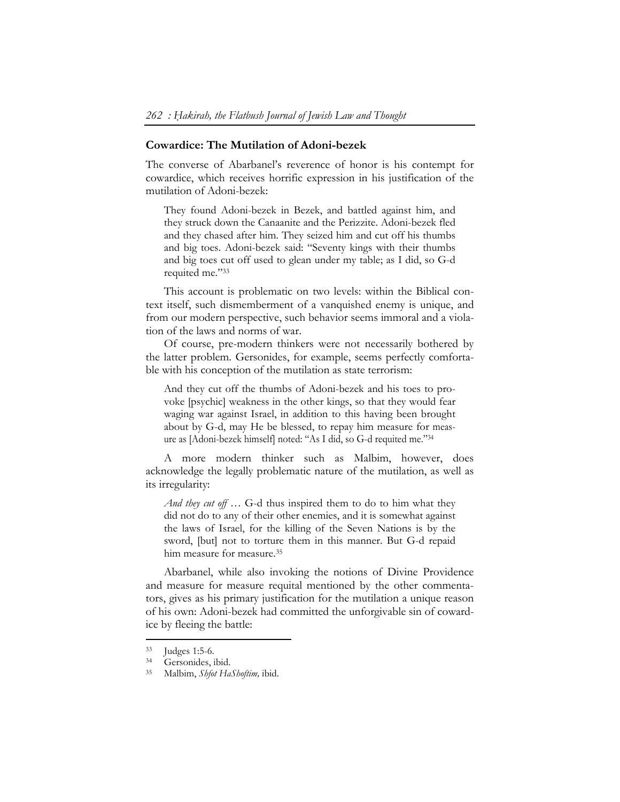## **Cowardice: The Mutilation of Adoni-bezek**

The converse of Abarbanel's reverence of honor is his contempt for cowardice, which receives horrific expression in his justification of the mutilation of Adoni-bezek:

They found Adoni-bezek in Bezek, and battled against him, and they struck down the Canaanite and the Perizzite. Adoni-bezek fled and they chased after him. They seized him and cut off his thumbs and big toes. Adoni-bezek said: "Seventy kings with their thumbs and big toes cut off used to glean under my table; as I did, so G-d requited me."33

This account is problematic on two levels: within the Biblical context itself, such dismemberment of a vanquished enemy is unique, and from our modern perspective, such behavior seems immoral and a violation of the laws and norms of war.

Of course, pre-modern thinkers were not necessarily bothered by the latter problem. Gersonides, for example, seems perfectly comfortable with his conception of the mutilation as state terrorism:

And they cut off the thumbs of Adoni-bezek and his toes to provoke [psychic] weakness in the other kings, so that they would fear waging war against Israel, in addition to this having been brought about by G-d, may He be blessed, to repay him measure for measure as [Adoni-bezek himself] noted: "As I did, so G-d requited me."34

A more modern thinker such as Malbim, however, does acknowledge the legally problematic nature of the mutilation, as well as its irregularity:

*And they cut off …* G-d thus inspired them to do to him what they did not do to any of their other enemies, and it is somewhat against the laws of Israel, for the killing of the Seven Nations is by the sword, [but] not to torture them in this manner. But G-d repaid him measure for measure.<sup>35</sup>

Abarbanel, while also invoking the notions of Divine Providence and measure for measure requital mentioned by the other commentators, gives as his primary justification for the mutilation a unique reason of his own: Adoni-bezek had committed the unforgivable sin of cowardice by fleeing the battle:

 $33$  Judges 1:5-6.<br> $34$  Gersonides i

Gersonides, ibid.

<sup>35</sup> Malbim, *Shfot HaShoftim,* ibid.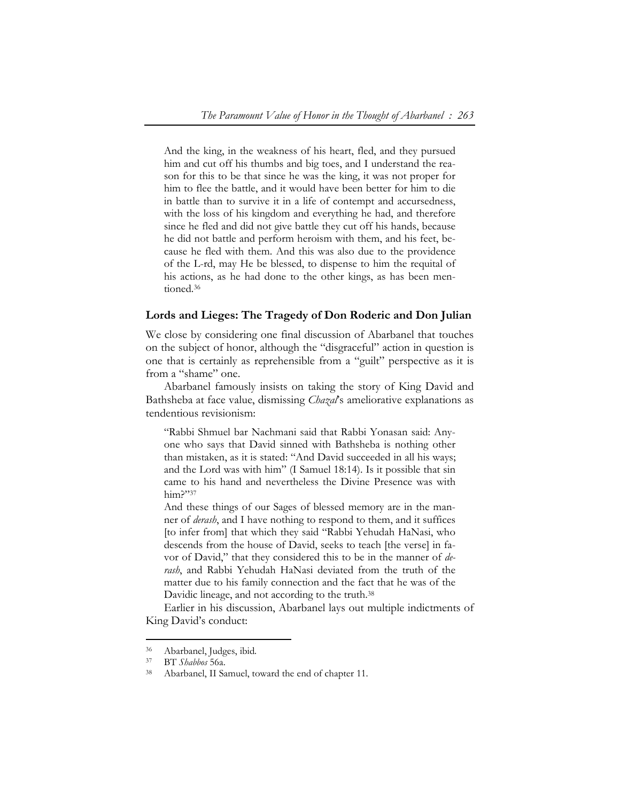And the king, in the weakness of his heart, fled, and they pursued him and cut off his thumbs and big toes, and I understand the reason for this to be that since he was the king, it was not proper for him to flee the battle, and it would have been better for him to die in battle than to survive it in a life of contempt and accursedness, with the loss of his kingdom and everything he had, and therefore since he fled and did not give battle they cut off his hands, because he did not battle and perform heroism with them, and his feet, because he fled with them. And this was also due to the providence of the L-rd, may He be blessed, to dispense to him the requital of his actions, as he had done to the other kings, as has been mentioned.36

#### **Lords and Lieges: The Tragedy of Don Roderic and Don Julian**

We close by considering one final discussion of Abarbanel that touches on the subject of honor, although the "disgraceful" action in question is one that is certainly as reprehensible from a "guilt" perspective as it is from a "shame" one.

Abarbanel famously insists on taking the story of King David and Bathsheba at face value, dismissing *Chazal*'s ameliorative explanations as tendentious revisionism:

"Rabbi Shmuel bar Nachmani said that Rabbi Yonasan said: Anyone who says that David sinned with Bathsheba is nothing other than mistaken, as it is stated: "And David succeeded in all his ways; and the Lord was with him" (I Samuel 18:14). Is it possible that sin came to his hand and nevertheless the Divine Presence was with him?"37

And these things of our Sages of blessed memory are in the manner of *derash*, and I have nothing to respond to them, and it suffices [to infer from] that which they said "Rabbi Yehudah HaNasi, who descends from the house of David, seeks to teach [the verse] in favor of David," that they considered this to be in the manner of *derash*, and Rabbi Yehudah HaNasi deviated from the truth of the matter due to his family connection and the fact that he was of the Davidic lineage, and not according to the truth.<sup>38</sup>

Earlier in his discussion, Abarbanel lays out multiple indictments of King David's conduct:

<sup>36</sup> Abarbanel, Judges, ibid*.*

<sup>37</sup> BT *Shabbos* 56a. 38 Abarbanel, II Samuel, toward the end of chapter 11.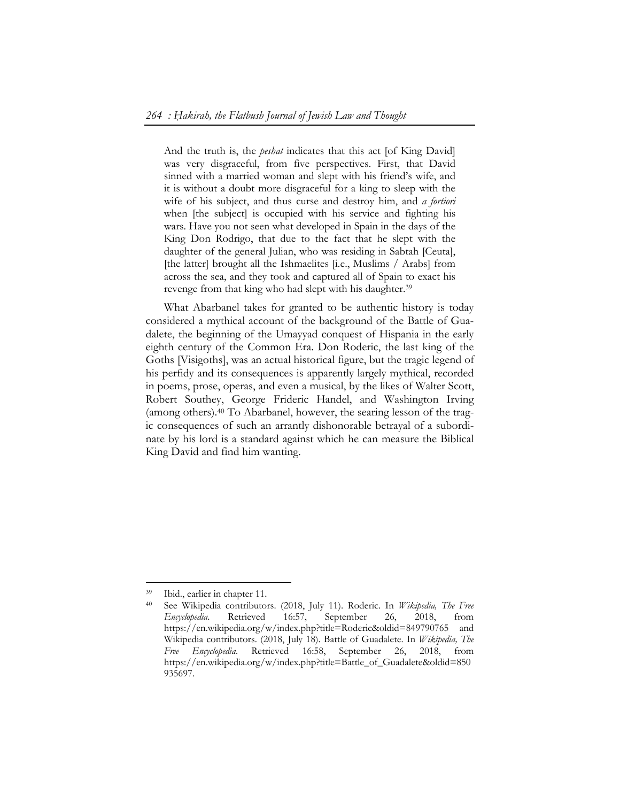And the truth is, the *peshat* indicates that this act [of King David] was very disgraceful, from five perspectives. First, that David sinned with a married woman and slept with his friend's wife, and it is without a doubt more disgraceful for a king to sleep with the wife of his subject, and thus curse and destroy him, and *a fortiori*  when [the subject] is occupied with his service and fighting his wars. Have you not seen what developed in Spain in the days of the King Don Rodrigo, that due to the fact that he slept with the daughter of the general Julian, who was residing in Sabtah [Ceuta], [the latter] brought all the Ishmaelites [i.e., Muslims / Arabs] from across the sea, and they took and captured all of Spain to exact his revenge from that king who had slept with his daughter.39

What Abarbanel takes for granted to be authentic history is today considered a mythical account of the background of the Battle of Guadalete, the beginning of the Umayyad conquest of Hispania in the early eighth century of the Common Era. Don Roderic, the last king of the Goths [Visigoths], was an actual historical figure, but the tragic legend of his perfidy and its consequences is apparently largely mythical, recorded in poems, prose, operas, and even a musical, by the likes of Walter Scott, Robert Southey, George Frideric Handel, and Washington Irving (among others).40 To Abarbanel, however, the searing lesson of the tragic consequences of such an arrantly dishonorable betrayal of a subordinate by his lord is a standard against which he can measure the Biblical King David and find him wanting.

<sup>39</sup>Ibid., earlier in chapter 11.

<sup>40</sup> See Wikipedia contributors. (2018, July 11). Roderic. In *Wikipedia, The Free Encyclopedia*. Retrieved 16:57, September 26, 2018, from https://en.wikipedia.org/w/index.php?title=Roderic&oldid=849790765 and Wikipedia contributors. (2018, July 18). Battle of Guadalete. In *Wikipedia, The Free Encyclopedia*. Retrieved 16:58, September 26, 2018, from https://en.wikipedia.org/w/index.php?title=Battle\_of\_Guadalete&oldid=850 935697.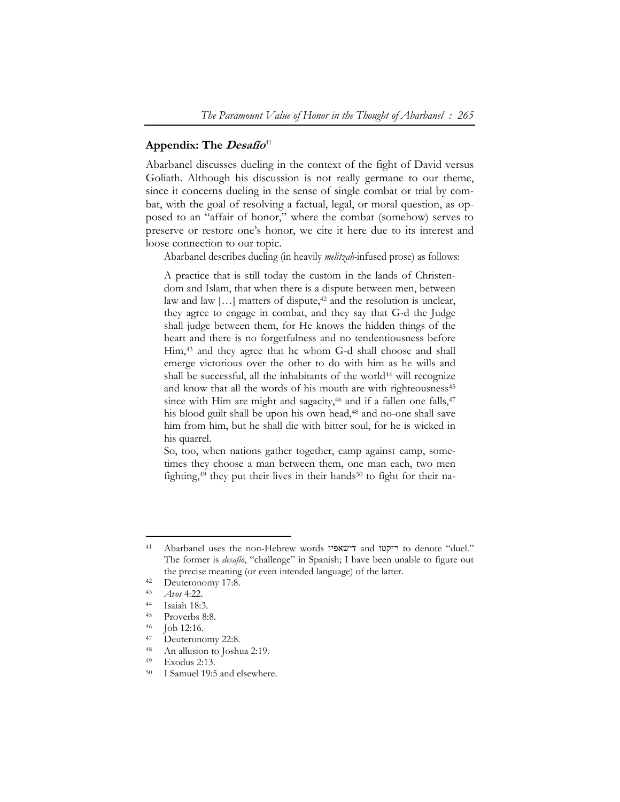## **Appendix: The Desafío**<sup>41</sup>

Abarbanel discusses dueling in the context of the fight of David versus Goliath. Although his discussion is not really germane to our theme, since it concerns dueling in the sense of single combat or trial by combat, with the goal of resolving a factual, legal, or moral question, as opposed to an "affair of honor," where the combat (somehow) serves to preserve or restore one's honor, we cite it here due to its interest and loose connection to our topic.

Abarbanel describes dueling (in heavily *melitzah-*infused prose) as follows:

A practice that is still today the custom in the lands of Christendom and Islam, that when there is a dispute between men, between law and law [...] matters of dispute,<sup>42</sup> and the resolution is unclear, they agree to engage in combat, and they say that G-d the Judge shall judge between them, for He knows the hidden things of the heart and there is no forgetfulness and no tendentiousness before Him,43 and they agree that he whom G-d shall choose and shall emerge victorious over the other to do with him as he wills and shall be successful, all the inhabitants of the world<sup>44</sup> will recognize and know that all the words of his mouth are with righteousness<sup>45</sup> since with Him are might and sagacity,<sup>46</sup> and if a fallen one falls,<sup>47</sup> his blood guilt shall be upon his own head,<sup>48</sup> and no-one shall save him from him, but he shall die with bitter soul, for he is wicked in his quarrel.

So, too, when nations gather together, camp against camp, sometimes they choose a man between them, one man each, two men fighting, $49$  they put their lives in their hands $50$  to fight for their na-

<sup>41</sup> Abarbanel uses the non-Hebrew words דישאפיו and ריקטו to denote "duel." The former is *desafío*, "challenge" in Spanish; I have been unable to figure out the precise meaning (or even intended language) of the latter.<br>42 Deuteronomy 17:8.

<sup>43</sup>*Avos* 4:22. 44 Isaiah 18:3.

Proverbs 8:8.

<sup>46</sup> Job 12:16.

 $^{47}$  Deuteronomy 22:8.<br> $^{48}$  An allusion to Joshu

 $^{48}$  An allusion to Joshua 2:19.<br> $^{49}$  Exodus 2:13

Exodus 2:13.

<sup>50</sup> I Samuel 19:5 and elsewhere.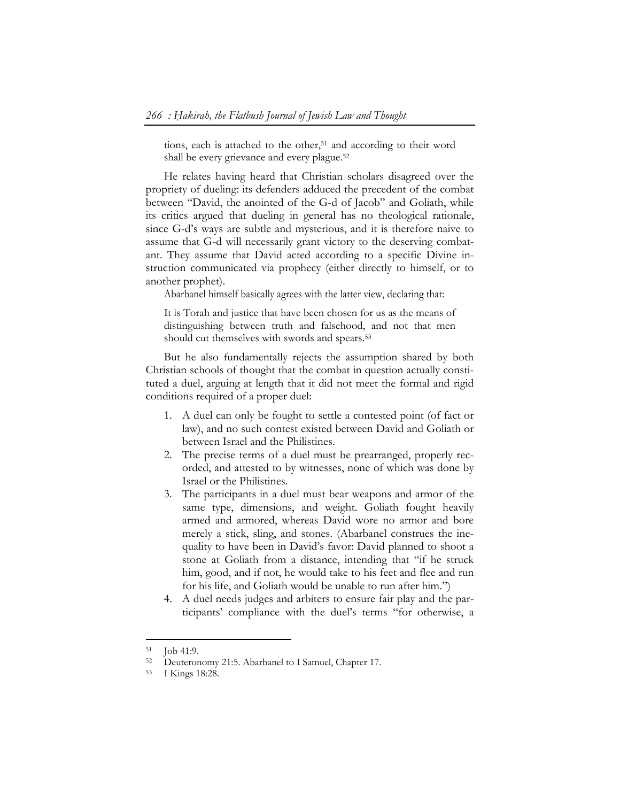tions, each is attached to the other,<sup>51</sup> and according to their word shall be every grievance and every plague.52

He relates having heard that Christian scholars disagreed over the propriety of dueling: its defenders adduced the precedent of the combat between "David, the anointed of the G-d of Jacob" and Goliath, while its critics argued that dueling in general has no theological rationale, since G-d's ways are subtle and mysterious, and it is therefore naive to assume that G-d will necessarily grant victory to the deserving combatant. They assume that David acted according to a specific Divine instruction communicated via prophecy (either directly to himself, or to another prophet).

Abarbanel himself basically agrees with the latter view, declaring that:

It is Torah and justice that have been chosen for us as the means of distinguishing between truth and falsehood, and not that men should cut themselves with swords and spears.53

But he also fundamentally rejects the assumption shared by both Christian schools of thought that the combat in question actually constituted a duel, arguing at length that it did not meet the formal and rigid conditions required of a proper duel:

- 1. A duel can only be fought to settle a contested point (of fact or law), and no such contest existed between David and Goliath or between Israel and the Philistines.
- 2. The precise terms of a duel must be prearranged, properly recorded, and attested to by witnesses, none of which was done by Israel or the Philistines.
- 3. The participants in a duel must bear weapons and armor of the same type, dimensions, and weight. Goliath fought heavily armed and armored, whereas David wore no armor and bore merely a stick, sling, and stones. (Abarbanel construes the inequality to have been in David's favor: David planned to shoot a stone at Goliath from a distance, intending that "if he struck him, good, and if not, he would take to his feet and flee and run for his life, and Goliath would be unable to run after him.")
- 4. A duel needs judges and arbiters to ensure fair play and the participants' compliance with the duel's terms "for otherwise, a

 $51$  Job 41:9.<br> $52$  Deuteror

Deuteronomy 21:5. Abarbanel to I Samuel, Chapter 17.

<sup>53</sup> I Kings 18:28.